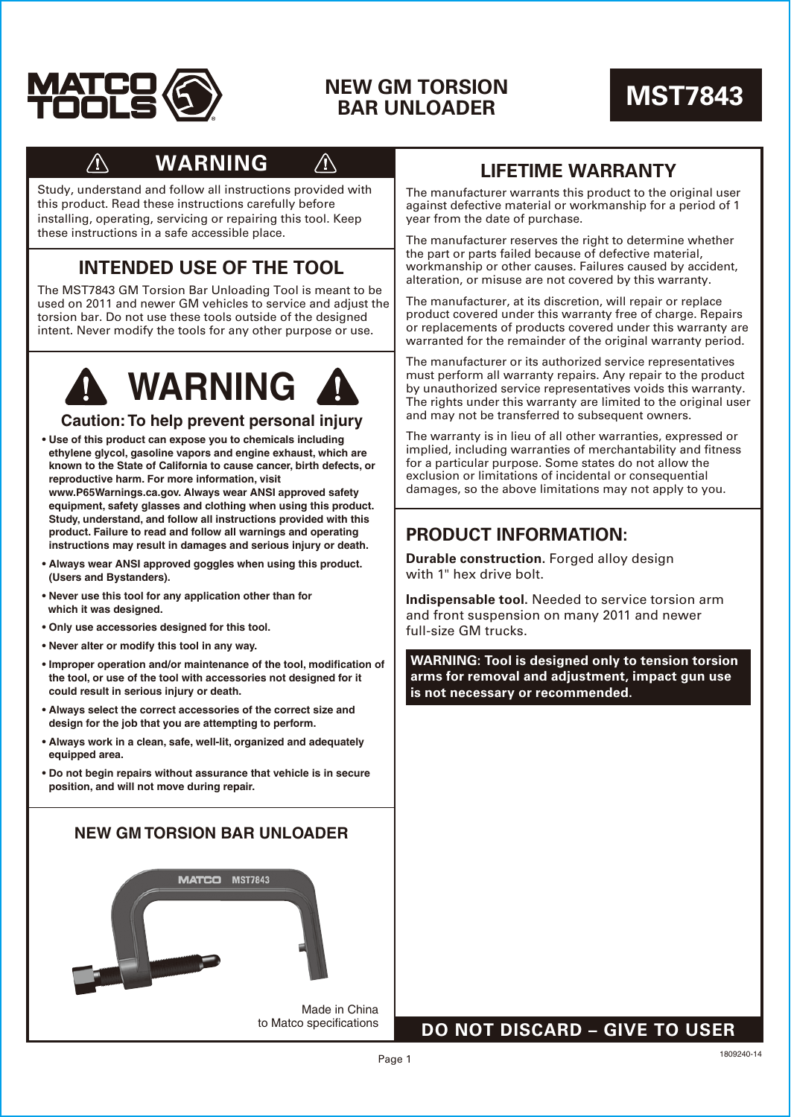

## **NEW GM TORSION BAR UNLOADER MST7843**



# **WARNING**

Study, understand and follow all instructions provided with this product. Read these instructions carefully before installing, operating, servicing or repairing this tool. Keep these instructions in a safe accessible place.

## **INTENDED USE OF THE TOOL**

The MST7843 GM Torsion Bar Unloading Tool is meant to be used on 2011 and newer GM vehicles to service and adjust the torsion bar. Do not use these tools outside of the designed intent. Never modify the tools for any other purpose or use.



#### **Caution: To help prevent personal injury**

- **Use of this product can expose you to chemicals including ethylene glycol, gasoline vapors and engine exhaust, which are known to the State of California to cause cancer, birth defects, or reproductive harm. For more information, visit www.P65Warnings.ca.gov. Always wear ANSI approved safety equipment, safety glasses and clothing when using this product. Study, understand, and follow all instructions provided with this product. Failure to read and follow all warnings and operating instructions may result in damages and serious injury or death.**
- **Always wear ANSI approved goggles when using this product. (Users and Bystanders).**
- **Never use this tool for any application other than for which it was designed.**
- **Only use accessories designed for this tool.**
- **Never alter or modify this tool in any way.**
- **Improper operation and/or maintenance of the tool, modification of the tool, or use of the tool with accessories not designed for it could result in serious injury or death.**
- **Always select the correct accessories of the correct size and design for the job that you are attempting to perform.**
- **Always work in a clean, safe, well-lit, organized and adequately equipped area.**
- **Do not begin repairs without assurance that vehicle is in secure position, and will not move during repair.**



## **LIFETIME WARRANTY**

The manufacturer warrants this product to the original user against defective material or workmanship for a period of 1 year from the date of purchase.

The manufacturer reserves the right to determine whether the part or parts failed because of defective material, workmanship or other causes. Failures caused by accident, alteration, or misuse are not covered by this warranty.

The manufacturer, at its discretion, will repair or replace product covered under this warranty free of charge. Repairs or replacements of products covered under this warranty are warranted for the remainder of the original warranty period.

The manufacturer or its authorized service representatives must perform all warranty repairs. Any repair to the product by unauthorized service representatives voids this warranty. The rights under this warranty are limited to the original user and may not be transferred to subsequent owners.

The warranty is in lieu of all other warranties, expressed or implied, including warranties of merchantability and fitness for a particular purpose. Some states do not allow the exclusion or limitations of incidental or consequential damages, so the above limitations may not apply to you.

## **PRODUCT INFORMATION:**

**Durable construction.** Forged alloy design with 1" hex drive bolt.

**Indispensable tool.** Needed to service torsion arm and front suspension on many 2011 and newer full-size GM trucks.

**WARNING: Tool is designed only to tension torsion arms for removal and adjustment, impact gun use is not necessary or recommended.**

### **DO NOT DISCARD – GIVE TO USER**